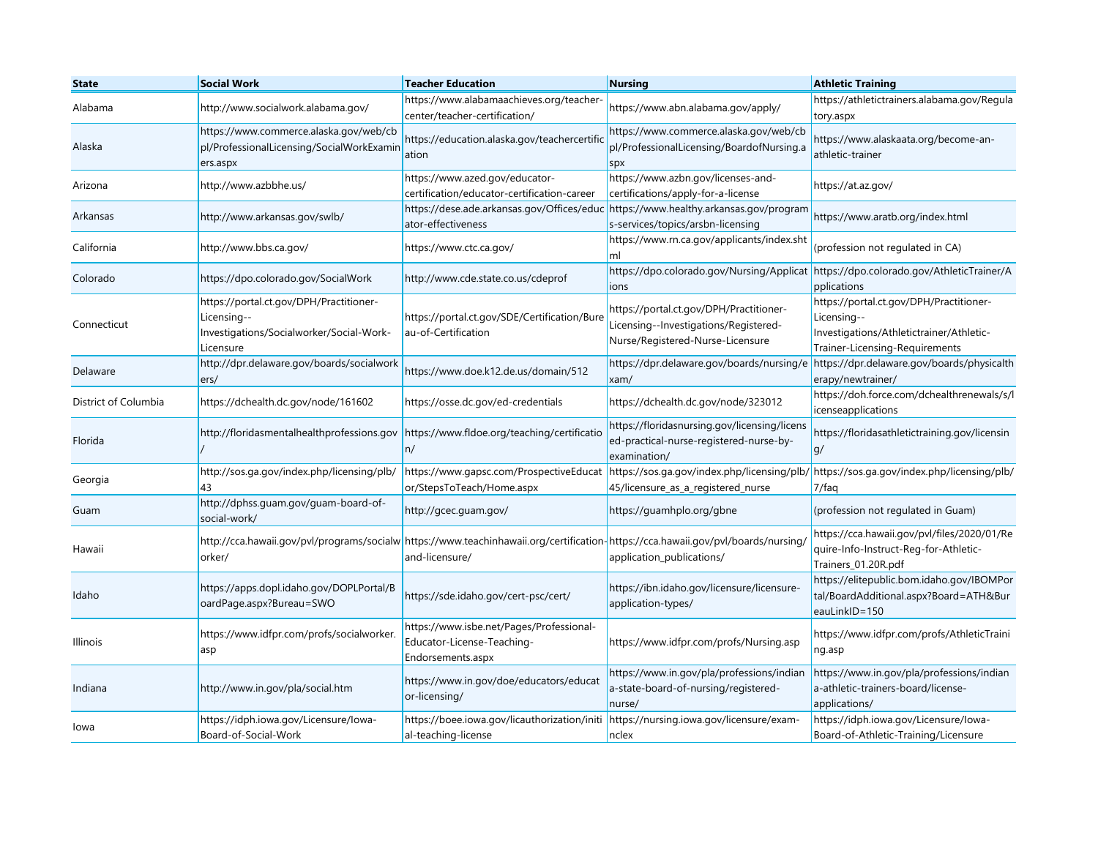| <b>State</b>         | <b>Social Work</b>                                                                                              | <b>Teacher Education</b>                                                                                                                            | Nursing                                                                                                              | <b>Athletic Training</b>                                                                                                             |
|----------------------|-----------------------------------------------------------------------------------------------------------------|-----------------------------------------------------------------------------------------------------------------------------------------------------|----------------------------------------------------------------------------------------------------------------------|--------------------------------------------------------------------------------------------------------------------------------------|
| Alabama              | http://www.socialwork.alabama.gov/                                                                              | https://www.alabamaachieves.org/teacher-<br>center/teacher-certification/                                                                           | https://www.abn.alabama.gov/apply/                                                                                   | https://athletictrainers.alabama.gov/Regula<br>tory.aspx                                                                             |
| Alaska               | https://www.commerce.alaska.gov/web/cb<br>pl/ProfessionalLicensing/SocialWorkExamin<br>ers.aspx                 | https://education.alaska.gov/teachercertific<br>ation                                                                                               | https://www.commerce.alaska.gov/web/cb<br>pl/ProfessionalLicensing/BoardofNursing.a<br>spx                           | https://www.alaskaata.org/become-an-<br>athletic-trainer                                                                             |
| Arizona              | http://www.azbbhe.us/                                                                                           | https://www.azed.gov/educator-<br>certification/educator-certification-career                                                                       | https://www.azbn.gov/licenses-and-<br>certifications/apply-for-a-license                                             | https://at.az.gov/                                                                                                                   |
| Arkansas             | http://www.arkansas.gov/swlb/                                                                                   | https://dese.ade.arkansas.gov/Offices/educ<br>ator-effectiveness                                                                                    | https://www.healthy.arkansas.gov/program<br>s-services/topics/arsbn-licensing                                        | https://www.aratb.org/index.html                                                                                                     |
| California           | http://www.bbs.ca.gov/                                                                                          | https://www.ctc.ca.gov/                                                                                                                             | https://www.rn.ca.gov/applicants/index.sht<br>ml                                                                     | (profession not regulated in CA)                                                                                                     |
| Colorado             | https://dpo.colorado.gov/SocialWork                                                                             | http://www.cde.state.co.us/cdeprof                                                                                                                  | https://dpo.colorado.gov/Nursing/Applicat<br>ions                                                                    | https://dpo.colorado.gov/AthleticTrainer/A<br>pplications                                                                            |
| Connecticut          | https://portal.ct.gov/DPH/Practitioner-<br>Licensing--<br>Investigations/Socialworker/Social-Work-<br>Licensure | https://portal.ct.gov/SDE/Certification/Bure<br>au-of-Certification                                                                                 | https://portal.ct.gov/DPH/Practitioner-<br>Licensing--Investigations/Registered-<br>Nurse/Registered-Nurse-Licensure | https://portal.ct.gov/DPH/Practitioner-<br>Licensing--<br>Investigations/Athletictrainer/Athletic-<br>Trainer-Licensing-Requirements |
| Delaware             | http://dpr.delaware.gov/boards/socialwork<br>ers/                                                               | https://www.doe.k12.de.us/domain/512                                                                                                                | https://dpr.delaware.gov/boards/nursing/e<br>xam/                                                                    | https://dpr.delaware.gov/boards/physicalth<br>erapy/newtrainer/                                                                      |
| District of Columbia | https://dchealth.dc.gov/node/161602                                                                             | https://osse.dc.gov/ed-credentials                                                                                                                  | https://dchealth.dc.gov/node/323012                                                                                  | https://doh.force.com/dchealthrenewals/s/l<br>icenseapplications                                                                     |
| Florida              | http://floridasmentalhealthprofessions.gov                                                                      | https://www.fldoe.org/teaching/certificatio<br>n/                                                                                                   | https://floridasnursing.gov/licensing/licens<br>ed-practical-nurse-registered-nurse-by-<br>examination/              | https://floridasathletictraining.gov/licensin<br>g/                                                                                  |
| Georgia              | http://sos.ga.gov/index.php/licensing/plb/<br>43                                                                | https://www.gapsc.com/ProspectiveEducat<br>or/StepsToTeach/Home.aspx                                                                                | https://sos.ga.gov/index.php/licensing/plb/<br>45/licensure_as_a_registered_nurse                                    | https://sos.ga.gov/index.php/licensing/plb/<br>7/faq                                                                                 |
| Guam                 | http://dphss.guam.gov/guam-board-of-<br>social-work/                                                            | http://gcec.guam.gov/                                                                                                                               | https://guamhplo.org/gbne                                                                                            | (profession not regulated in Guam)                                                                                                   |
| Hawaii               | orker/                                                                                                          | http://cca.hawaii.gov/pvl/programs/socialw https://www.teachinhawaii.org/certification https://cca.hawaii.gov/pvl/boards/nursing,<br>and-licensure/ | application_publications/                                                                                            | https://cca.hawaii.gov/pvl/files/2020/01/Re<br>quire-Info-Instruct-Reg-for-Athletic-<br>Trainers_01.20R.pdf                          |
| Idaho                | https://apps.dopl.idaho.gov/DOPLPortal/B<br>oardPage.aspx?Bureau=SWO                                            | https://sde.idaho.gov/cert-psc/cert/                                                                                                                | https://ibn.idaho.gov/licensure/licensure-<br>application-types/                                                     | https://elitepublic.bom.idaho.gov/IBOMPor<br>tal/BoardAdditional.aspx?Board=ATH&Bur<br>eauLinkID=150                                 |
| <b>Illinois</b>      | https://www.idfpr.com/profs/socialworker.<br>asp                                                                | https://www.isbe.net/Pages/Professional-<br>Educator-License-Teaching-<br>Endorsements.aspx                                                         | https://www.idfpr.com/profs/Nursing.asp                                                                              | https://www.idfpr.com/profs/AthleticTraini<br>ng.asp                                                                                 |
| Indiana              | http://www.in.gov/pla/social.htm                                                                                | https://www.in.gov/doe/educators/educat<br>or-licensing/                                                                                            | https://www.in.gov/pla/professions/indian<br>a-state-board-of-nursing/registered-<br>nurse/                          | https://www.in.gov/pla/professions/indian<br>a-athletic-trainers-board/license-<br>applications/                                     |
| lowa                 | https://idph.iowa.gov/Licensure/lowa-<br>Board-of-Social-Work                                                   | https://boee.iowa.gov/licauthorization/initi<br>al-teaching-license                                                                                 | https://nursing.iowa.gov/licensure/exam-<br>nclex                                                                    | https://idph.iowa.gov/Licensure/Iowa-<br>Board-of-Athletic-Training/Licensure                                                        |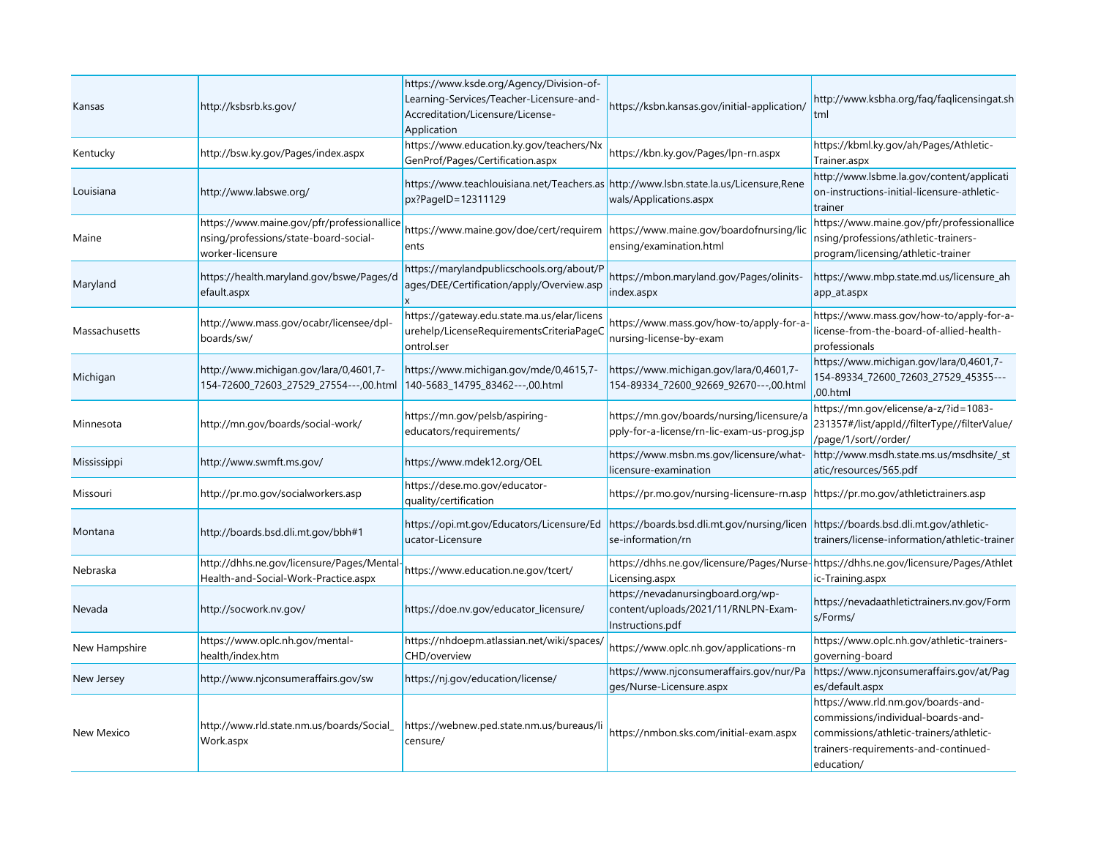| Kansas        | http://ksbsrb.ks.gov/                                                                                   | https://www.ksde.org/Agency/Division-of-<br>Learning-Services/Teacher-Licensure-and-<br>Accreditation/Licensure/License-<br>Application | https://ksbn.kansas.gov/initial-application/                                                           | http://www.ksbha.org/faq/faqlicensingat.sh<br>tml                                                                                                                         |
|---------------|---------------------------------------------------------------------------------------------------------|-----------------------------------------------------------------------------------------------------------------------------------------|--------------------------------------------------------------------------------------------------------|---------------------------------------------------------------------------------------------------------------------------------------------------------------------------|
| Kentucky      | http://bsw.ky.gov/Pages/index.aspx                                                                      | https://www.education.ky.gov/teachers/Nx<br>GenProf/Pages/Certification.aspx                                                            | https://kbn.ky.gov/Pages/lpn-rn.aspx                                                                   | https://kbml.ky.gov/ah/Pages/Athletic-<br>Trainer.aspx                                                                                                                    |
| Louisiana     | http://www.labswe.org/                                                                                  | https://www.teachlouisiana.net/Teachers.as<br>px?PageID=12311129                                                                        | http://www.lsbn.state.la.us/Licensure,Rene<br>wals/Applications.aspx                                   | http://www.lsbme.la.gov/content/applicati<br>on-instructions-initial-licensure-athletic-<br>trainer                                                                       |
| Maine         | https://www.maine.gov/pfr/professionallice<br>nsing/professions/state-board-social-<br>worker-licensure | https://www.maine.gov/doe/cert/requirem<br>ents                                                                                         | https://www.maine.gov/boardofnursing/lic<br>ensing/examination.html                                    | https://www.maine.gov/pfr/professionallice<br>nsing/professions/athletic-trainers-<br>program/licensing/athletic-trainer                                                  |
| Maryland      | https://health.maryland.gov/bswe/Pages/d<br>efault.aspx                                                 | https://marylandpublicschools.org/about/P<br>ages/DEE/Certification/apply/Overview.asp                                                  | https://mbon.maryland.gov/Pages/olinits-<br>index.aspx                                                 | https://www.mbp.state.md.us/licensure_ah<br>app_at.aspx                                                                                                                   |
| Massachusetts | http://www.mass.gov/ocabr/licensee/dpl-<br>boards/sw/                                                   | https://gateway.edu.state.ma.us/elar/licens<br>urehelp/LicenseRequirementsCriteriaPageC<br>ontrol.ser                                   | https://www.mass.gov/how-to/apply-for-a<br>nursing-license-by-exam                                     | https://www.mass.gov/how-to/apply-for-a-<br>license-from-the-board-of-allied-health-<br>professionals                                                                     |
| Michigan      | http://www.michigan.gov/lara/0,4601,7-<br>154-72600_72603_27529_27554---,00.html                        | https://www.michigan.gov/mde/0,4615,7-<br>140-5683_14795_83462---,00.html                                                               | https://www.michigan.gov/lara/0,4601,7-<br>154-89334_72600_92669_92670---,00.html                      | https://www.michigan.gov/lara/0,4601,7-<br>154-89334_72600_72603_27529_45355---<br>,00.html                                                                               |
| Minnesota     | http://mn.gov/boards/social-work/                                                                       | https://mn.gov/pelsb/aspiring-<br>educators/requirements/                                                                               | https://mn.gov/boards/nursing/licensure/a<br>pply-for-a-license/rn-lic-exam-us-prog.jsp                | https://mn.gov/elicense/a-z/?id=1083-<br>231357#/list/appId//filterType//filterValue/<br>/page/1/sort//order/                                                             |
| Mississippi   | http://www.swmft.ms.gov/                                                                                | https://www.mdek12.org/OEL                                                                                                              | https://www.msbn.ms.gov/licensure/what-<br>licensure-examination                                       | http://www.msdh.state.ms.us/msdhsite/_st<br>atic/resources/565.pdf                                                                                                        |
| Missouri      | http://pr.mo.gov/socialworkers.asp                                                                      | https://dese.mo.gov/educator-<br>quality/certification                                                                                  | https://pr.mo.gov/nursing-licensure-rn.asp                                                             | https://pr.mo.gov/athletictrainers.asp                                                                                                                                    |
| Montana       | http://boards.bsd.dli.mt.gov/bbh#1                                                                      | https://opi.mt.gov/Educators/Licensure/Ed<br>ucator-Licensure                                                                           | https://boards.bsd.dli.mt.gov/nursing/licen<br>se-information/rn                                       | https://boards.bsd.dli.mt.gov/athletic-<br>trainers/license-information/athletic-trainer                                                                                  |
| Nebraska      | http://dhhs.ne.gov/licensure/Pages/Mental-<br>Health-and-Social-Work-Practice.aspx                      | https://www.education.ne.gov/tcert/                                                                                                     | https://dhhs.ne.gov/licensure/Pages/Nurse-https://dhhs.ne.gov/licensure/Pages/Athlet<br>Licensing.aspx | ic-Training.aspx                                                                                                                                                          |
| Nevada        | http://socwork.nv.gov/                                                                                  | https://doe.nv.gov/educator_licensure/                                                                                                  | https://nevadanursingboard.org/wp-<br>content/uploads/2021/11/RNLPN-Exam-<br>Instructions.pdf          | https://nevadaathletictrainers.nv.gov/Form<br>s/Forms/                                                                                                                    |
| New Hampshire | https://www.oplc.nh.gov/mental-<br>health/index.htm                                                     | https://nhdoepm.atlassian.net/wiki/spaces/<br>CHD/overview                                                                              | https://www.oplc.nh.gov/applications-rn                                                                | https://www.oplc.nh.gov/athletic-trainers-<br>governing-board                                                                                                             |
| New Jersey    | http://www.njconsumeraffairs.gov/sw                                                                     | https://nj.gov/education/license/                                                                                                       | https://www.njconsumeraffairs.gov/nur/Pa<br>ges/Nurse-Licensure.aspx                                   | https://www.njconsumeraffairs.gov/at/Pag<br>es/default.aspx                                                                                                               |
| New Mexico    | http://www.rld.state.nm.us/boards/Social_<br>Work.aspx                                                  | https://webnew.ped.state.nm.us/bureaus/li<br>censure/                                                                                   | https://nmbon.sks.com/initial-exam.aspx                                                                | https://www.rld.nm.gov/boards-and-<br>commissions/individual-boards-and-<br>commissions/athletic-trainers/athletic-<br>trainers-requirements-and-continued-<br>education/ |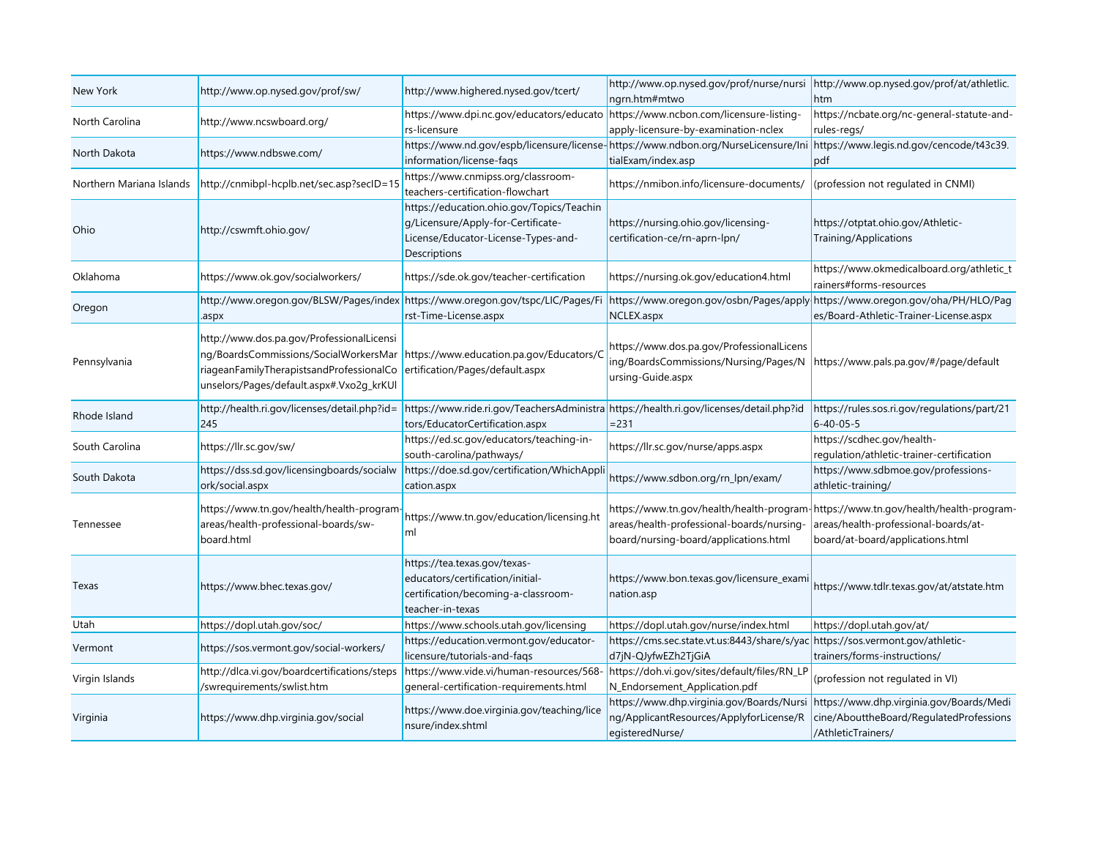| New York                 | http://www.op.nysed.gov/prof/sw/                                                                                                                                           | http://www.highered.nysed.gov/tcert/                                                                                                   | http://www.op.nysed.gov/prof/nurse/nursi<br>ngrn.htm#mtwo                                                                                         | http://www.op.nysed.gov/prof/at/athletlic.<br>htm                                                                                                              |
|--------------------------|----------------------------------------------------------------------------------------------------------------------------------------------------------------------------|----------------------------------------------------------------------------------------------------------------------------------------|---------------------------------------------------------------------------------------------------------------------------------------------------|----------------------------------------------------------------------------------------------------------------------------------------------------------------|
| North Carolina           | http://www.ncswboard.org/                                                                                                                                                  | https://www.dpi.nc.gov/educators/educato<br>rs-licensure                                                                               | https://www.ncbon.com/licensure-listing-<br>apply-licensure-by-examination-nclex                                                                  | https://ncbate.org/nc-general-statute-and-<br>rules-regs/                                                                                                      |
| North Dakota             | https://www.ndbswe.com/                                                                                                                                                    | information/license-fags                                                                                                               | https://www.nd.gov/espb/licensure/license-https://www.ndbon.org/NurseLicensure/Ini https://www.legis.nd.gov/cencode/t43c39.<br>tialExam/index.asp | pdf                                                                                                                                                            |
| Northern Mariana Islands | http://cnmibpl-hcplb.net/sec.asp?secID=15                                                                                                                                  | https://www.cnmipss.org/classroom-<br>teachers-certification-flowchart                                                                 | https://nmibon.info/licensure-documents/                                                                                                          | (profession not regulated in CNMI)                                                                                                                             |
| Ohio                     | http://cswmft.ohio.gov/                                                                                                                                                    | https://education.ohio.gov/Topics/Teachin<br>q/Licensure/Apply-for-Certificate-<br>License/Educator-License-Types-and-<br>Descriptions | https://nursing.ohio.gov/licensing-<br>certification-ce/rn-aprn-lpn/                                                                              | https://otptat.ohio.gov/Athletic-<br>Training/Applications                                                                                                     |
| Oklahoma                 | https://www.ok.gov/socialworkers/                                                                                                                                          | https://sde.ok.gov/teacher-certification                                                                                               | https://nursing.ok.gov/education4.html                                                                                                            | https://www.okmedicalboard.org/athletic_t<br>rainers#forms-resources                                                                                           |
| Oregon                   | http://www.oregon.gov/BLSW/Pages/index<br>.aspx                                                                                                                            | https://www.oregon.gov/tspc/LIC/Pages/Fi<br>rst-Time-License.aspx                                                                      | https://www.oregon.gov/osbn/Pages/apply<br>NCLEX.aspx                                                                                             | https://www.oregon.gov/oha/PH/HLO/Pag<br>es/Board-Athletic-Trainer-License.aspx                                                                                |
| Pennsylvania             | http://www.dos.pa.gov/ProfessionalLicensi<br>ng/BoardsCommissions/SocialWorkersMar<br>riageanFamilyTherapistsandProfessionalCo<br>unselors/Pages/default.aspx#.Vxo2g_krKUl | https://www.education.pa.gov/Educators/C<br>ertification/Pages/default.aspx                                                            | https://www.dos.pa.gov/ProfessionalLicens<br>ing/BoardsCommissions/Nursing/Pages/N<br>ursing-Guide.aspx                                           | https://www.pals.pa.gov/#/page/default                                                                                                                         |
| Rhode Island             | http://health.ri.gov/licenses/detail.php?id=<br>245                                                                                                                        | https://www.ride.ri.gov/TeachersAdministra https://health.ri.gov/licenses/detail.php?id<br>tors/EducatorCertification.aspx             | $= 231$                                                                                                                                           | https://rules.sos.ri.gov/regulations/part/21<br>$6 - 40 - 05 - 5$                                                                                              |
| South Carolina           | https://llr.sc.gov/sw/                                                                                                                                                     | https://ed.sc.gov/educators/teaching-in-<br>south-carolina/pathways/                                                                   | https://llr.sc.gov/nurse/apps.aspx                                                                                                                | https://scdhec.gov/health-<br>regulation/athletic-trainer-certification                                                                                        |
| South Dakota             | https://dss.sd.gov/licensingboards/socialw<br>ork/social.aspx                                                                                                              | https://doe.sd.gov/certification/WhichAppli<br>cation.aspx                                                                             | https://www.sdbon.org/rn_lpn/exam/                                                                                                                | https://www.sdbmoe.gov/professions-<br>athletic-training/                                                                                                      |
| Tennessee                | https://www.tn.gov/health/health-program<br>areas/health-professional-boards/sw-<br>board.html                                                                             | https://www.tn.gov/education/licensing.ht<br>ml                                                                                        | areas/health-professional-boards/nursing-<br>board/nursing-board/applications.html                                                                | https://www.tn.gov/health/health-program-https://www.tn.gov/health/health-program-<br>areas/health-professional-boards/at-<br>board/at-board/applications.html |
| Texas                    | https://www.bhec.texas.gov/                                                                                                                                                | https://tea.texas.gov/texas-<br>educators/certification/initial-<br>certification/becoming-a-classroom-<br>teacher-in-texas            | https://www.bon.texas.gov/licensure_exami<br>nation.asp                                                                                           | https://www.tdlr.texas.gov/at/atstate.htm                                                                                                                      |
| Utah                     | https://dopl.utah.gov/soc/                                                                                                                                                 | https://www.schools.utah.gov/licensing                                                                                                 | https://dopl.utah.gov/nurse/index.html                                                                                                            | https://dopl.utah.gov/at/                                                                                                                                      |
| Vermont                  | https://sos.vermont.gov/social-workers/                                                                                                                                    | https://education.vermont.gov/educator-<br>licensure/tutorials-and-faqs                                                                | https://cms.sec.state.vt.us:8443/share/s/yac https://sos.vermont.gov/athletic-<br>d7jN-QJyfwEZh2TjGiA                                             | trainers/forms-instructions/                                                                                                                                   |
| Virgin Islands           | http://dlca.vi.gov/boardcertifications/steps<br>/swrequirements/swlist.htm                                                                                                 | https://www.vide.vi/human-resources/568-<br>general-certification-requirements.html                                                    | https://doh.vi.gov/sites/default/files/RN_LP<br>N_Endorsement_Application.pdf                                                                     | (profession not regulated in VI)                                                                                                                               |
| Virginia                 | https://www.dhp.virginia.gov/social                                                                                                                                        | https://www.doe.virginia.gov/teaching/lice<br>nsure/index.shtml                                                                        | https://www.dhp.virginia.gov/Boards/Nursi<br>ng/ApplicantResources/ApplyforLicense/R<br>egisteredNurse/                                           | https://www.dhp.virginia.gov/Boards/Medi<br>cine/AbouttheBoard/RegulatedProfessions<br>/AthleticTrainers/                                                      |